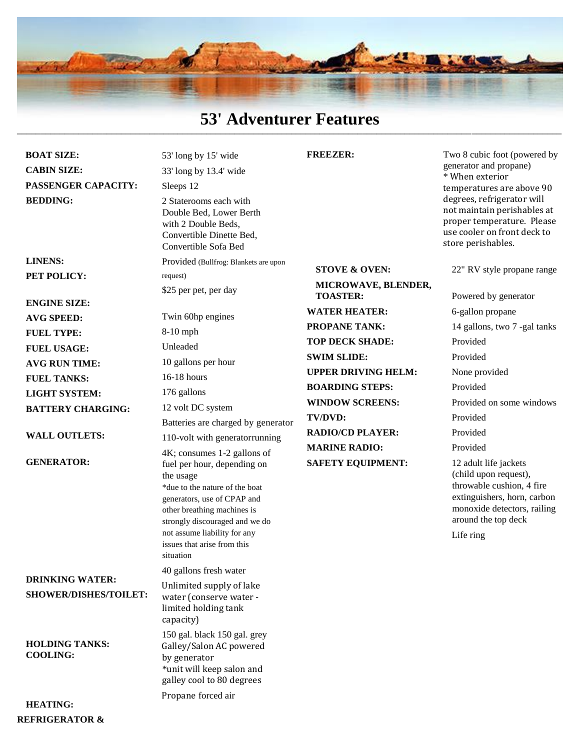

### **53' Adventurer Features** \_\_\_\_\_\_\_\_\_\_\_\_\_\_\_\_\_\_\_\_\_\_\_\_\_\_\_\_\_\_\_\_\_\_\_\_\_\_\_\_\_\_\_\_\_\_\_\_\_\_\_\_\_\_\_\_\_\_\_\_\_\_\_\_\_\_\_\_\_\_\_\_\_\_\_\_\_\_\_\_\_\_\_\_\_\_\_\_\_\_\_\_\_\_\_\_\_\_\_\_\_\_\_\_\_\_\_\_\_\_\_\_\_\_\_

| <b>BOAT SIZE:</b>                                      | 53' long by 15' wide                                                                                                                                                                                                                                                                  | <b>FREEZER:</b>                        | Two 8 cubic foot (powered by                                                                                                                                                  |
|--------------------------------------------------------|---------------------------------------------------------------------------------------------------------------------------------------------------------------------------------------------------------------------------------------------------------------------------------------|----------------------------------------|-------------------------------------------------------------------------------------------------------------------------------------------------------------------------------|
| <b>CABIN SIZE:</b>                                     | 33' long by 13.4' wide                                                                                                                                                                                                                                                                |                                        | generator and propane)<br>* When exterior                                                                                                                                     |
| PASSENGER CAPACITY:                                    | Sleeps 12                                                                                                                                                                                                                                                                             |                                        | temperatures are above 90                                                                                                                                                     |
| <b>BEDDING:</b>                                        | 2 Staterooms each with<br>Double Bed, Lower Berth<br>with 2 Double Beds,<br>Convertible Dinette Bed,<br>Convertible Sofa Bed                                                                                                                                                          |                                        | degrees, refrigerator will<br>not maintain perishables at<br>proper temperature. Please<br>use cooler on front deck to<br>store perishables.                                  |
| <b>LINENS:</b>                                         | Provided (Bullfrog: Blankets are upon                                                                                                                                                                                                                                                 |                                        |                                                                                                                                                                               |
| PET POLICY:                                            | request)                                                                                                                                                                                                                                                                              | <b>STOVE &amp; OVEN:</b>               | 22" RV style propane range                                                                                                                                                    |
|                                                        | \$25 per pet, per day                                                                                                                                                                                                                                                                 | MICROWAVE, BLENDER,<br><b>TOASTER:</b> | Powered by generator                                                                                                                                                          |
| <b>ENGINE SIZE:</b>                                    |                                                                                                                                                                                                                                                                                       | <b>WATER HEATER:</b>                   | 6-gallon propane                                                                                                                                                              |
| <b>AVG SPEED:</b>                                      | Twin 60hp engines                                                                                                                                                                                                                                                                     | <b>PROPANE TANK:</b>                   | 14 gallons, two 7 -gal tanks                                                                                                                                                  |
| <b>FUEL TYPE:</b>                                      | 8-10 mph                                                                                                                                                                                                                                                                              | <b>TOP DECK SHADE:</b>                 | Provided                                                                                                                                                                      |
| <b>FUEL USAGE:</b>                                     | Unleaded                                                                                                                                                                                                                                                                              | <b>SWIM SLIDE:</b>                     | Provided                                                                                                                                                                      |
| <b>AVG RUN TIME:</b>                                   | 10 gallons per hour                                                                                                                                                                                                                                                                   | <b>UPPER DRIVING HELM:</b>             | None provided                                                                                                                                                                 |
| <b>FUEL TANKS:</b>                                     | $16-18$ hours                                                                                                                                                                                                                                                                         | <b>BOARDING STEPS:</b>                 | Provided                                                                                                                                                                      |
| <b>LIGHT SYSTEM:</b>                                   | 176 gallons                                                                                                                                                                                                                                                                           | <b>WINDOW SCREENS:</b>                 | Provided on some windows                                                                                                                                                      |
| <b>BATTERY CHARGING:</b>                               | 12 volt DC system                                                                                                                                                                                                                                                                     | TV/DVD:                                | Provided                                                                                                                                                                      |
| <b>WALL OUTLETS:</b>                                   | Batteries are charged by generator<br>110-volt with generatorrunning                                                                                                                                                                                                                  | <b>RADIO/CD PLAYER:</b>                | Provided                                                                                                                                                                      |
|                                                        |                                                                                                                                                                                                                                                                                       | <b>MARINE RADIO:</b>                   | Provided                                                                                                                                                                      |
| <b>GENERATOR:</b>                                      | 4K; consumes 1-2 gallons of<br>fuel per hour, depending on<br>the usage<br>*due to the nature of the boat<br>generators, use of CPAP and<br>other breathing machines is<br>strongly discouraged and we do<br>not assume liability for any<br>issues that arise from this<br>situation | <b>SAFETY EQUIPMENT:</b>               | 12 adult life jackets<br>(child upon request),<br>throwable cushion, 4 fire<br>extinguishers, horn, carbon<br>monoxide detectors, railing<br>around the top deck<br>Life ring |
|                                                        | 40 gallons fresh water                                                                                                                                                                                                                                                                |                                        |                                                                                                                                                                               |
| <b>DRINKING WATER:</b><br><b>SHOWER/DISHES/TOILET:</b> | Unlimited supply of lake<br>water (conserve water -<br>limited holding tank<br>capacity)                                                                                                                                                                                              |                                        |                                                                                                                                                                               |
| <b>HOLDING TANKS:</b><br><b>COOLING:</b>               | 150 gal. black 150 gal. grey<br>Galley/Salon AC powered<br>by generator<br>*unit will keep salon and<br>galley cool to 80 degrees                                                                                                                                                     |                                        |                                                                                                                                                                               |
| <b>HEATING:</b>                                        | Propane forced air                                                                                                                                                                                                                                                                    |                                        |                                                                                                                                                                               |

**REFRIGERATOR &**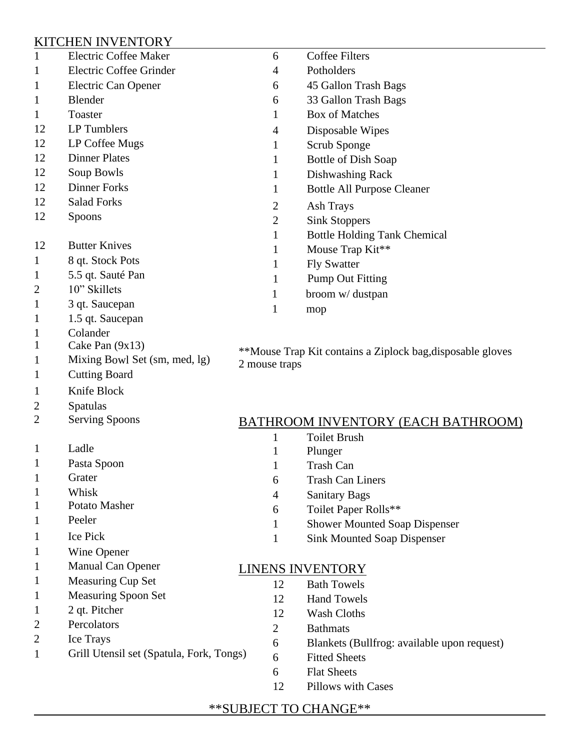## KITCHEN INVENTORY

**Cutting Board** 

1 Knife Block

1 Pasta Spoon

1 Potato Masher

1 Wine Opener

1 2 qt. Pitcher

2 Percolators

2 Ice Trays

1 Manual Can Opener

1 Measuring Cup Set

1 Measuring Spoon Set

1 Grill Utensil set (Spatula, Fork, Tongs)

2 Serving Spoons

2 Spatulas

1 Ladle

1 Grater

1 Whisk

1 Peeler 1 Ice Pick

| $\mathbf{1}$ | Electric Coffee Maker         | 6                                                          | Coffee Filters                      |  |
|--------------|-------------------------------|------------------------------------------------------------|-------------------------------------|--|
| 1            | Electric Coffee Grinder       | $\overline{4}$                                             | Potholders                          |  |
| 1            | Electric Can Opener           | 6                                                          | 45 Gallon Trash Bags                |  |
| 1            | Blender                       | 6                                                          | 33 Gallon Trash Bags                |  |
| 1            | Toaster                       |                                                            | <b>Box of Matches</b>               |  |
| 12           | LP Tumblers                   | $\overline{4}$                                             | Disposable Wipes                    |  |
| 12           | LP Coffee Mugs                | 1                                                          | Scrub Sponge                        |  |
| 12           | <b>Dinner Plates</b>          | 1                                                          | Bottle of Dish Soap                 |  |
| 12           | Soup Bowls                    |                                                            | Dishwashing Rack                    |  |
| 12           | <b>Dinner Forks</b>           |                                                            | <b>Bottle All Purpose Cleaner</b>   |  |
| 12           | <b>Salad Forks</b>            | $\overline{2}$                                             | Ash Trays                           |  |
| 12           | <b>Spoons</b>                 | $\overline{2}$                                             | <b>Sink Stoppers</b>                |  |
|              |                               | 1                                                          | <b>Bottle Holding Tank Chemical</b> |  |
| 12           | <b>Butter Knives</b>          |                                                            | Mouse Trap Kit**                    |  |
| 1            | 8 qt. Stock Pots              |                                                            | <b>Fly Swatter</b>                  |  |
| 1            | 5.5 qt. Sauté Pan             |                                                            | <b>Pump Out Fitting</b>             |  |
| 2            | 10" Skillets                  |                                                            | broom w/ dustpan                    |  |
| 1            | 3 qt. Saucepan                | 1                                                          | mop                                 |  |
| 1            | 1.5 qt. Saucepan              |                                                            |                                     |  |
| 1            | Colander                      |                                                            |                                     |  |
| 1            | Cake Pan $(9x13)$             | **Mouse Trap Kit contains a Ziplock bag, disposable gloves |                                     |  |
|              | Mixing Bowl Set (sm, med, lg) |                                                            |                                     |  |

1 Mixing Bowl Set (sm, med, lg)<br>1 Cutting Board<br>1 Cutting Board

#### BATHROOM INVENTORY (EACH BATHROOM)

- 1 Toilet Brush
- 1 Plunger
- 1 Trash Can
- 6 Trash Can Liners
- 4 Sanitary Bags
- 6 Toilet Paper Rolls\*\*
- 1 Shower Mounted Soap Dispenser
- 1 Sink Mounted Soap Dispenser

### LINENS INVENTORY

- 12 Bath Towels
- 12 Hand Towels
- 12 Wash Cloths
- 2 Bathmats
- 6 Blankets (Bullfrog: available upon request)
- 6 Fitted Sheets
- 6 Flat Sheets
- 12 Pillows with Cases

### \*\*SUBJECT TO CHANGE\*\*